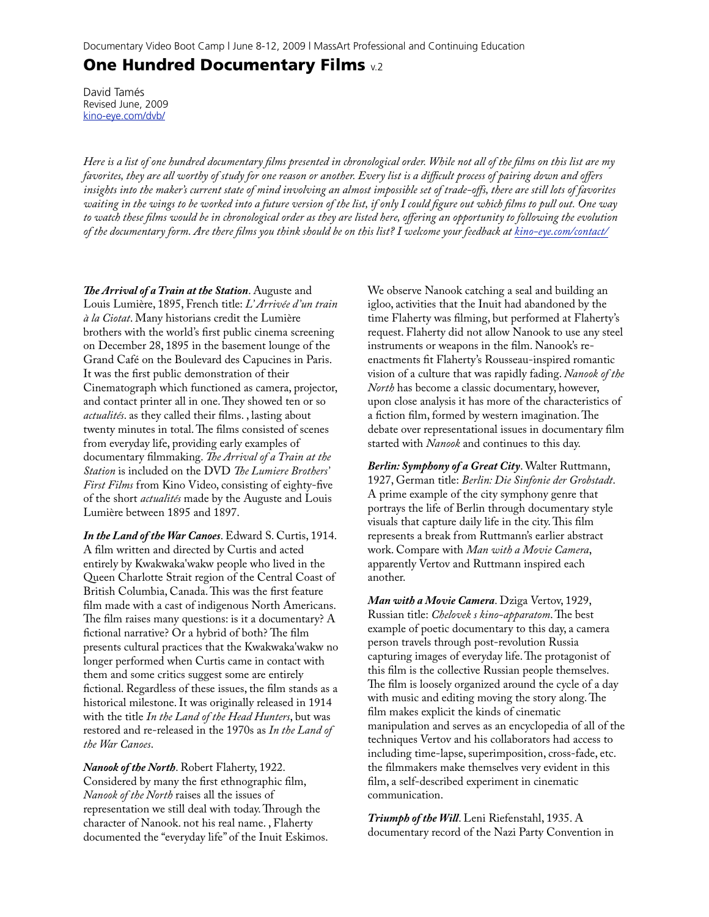# **One Hundred Documentary Films** v.2

David Tamés Revised June, 2009 [kino-eye.com/dvb/](http://Kino-Eye.com/reference/dvb/)

*Here is a list of one hundred documentary films presented in chronological order. While not all of the films on this list are my favorites, they are all worthy of study for one reason or another. Every list is a difficult process of pairing down and offers insights into the maker's current state of mind involving an almost impossible set of trade-offs, there are still lots of favorites waiting in the wings to be worked into a future version of the list, if only I could figure out which films to pull out. One way to watch these films would be in chronological order as they are listed here, offering an opportunity to following the evolution of the documentary form. Are there films you think should be on this list? I welcome your feedback at [kino-eye.com/contact/](http://kino-eye.com/contact/)*

*e Arrival of a Train at the Station*. Auguste and Louis Lumière, 1895, French title: *L' Arrivée d'un train à la Ciotat*. Many historians credit the Lumière brothers with the world's first public cinema screening on December 28, 1895 in the basement lounge of the Grand Café on the Boulevard des Capucines in Paris. It was the first public demonstration of their Cinematograph which functioned as camera, projector, and contact printer all in one. They showed ten or so *actualités*. as they called their films. , lasting about twenty minutes in total. The films consisted of scenes from everyday life, providing early examples of documentary filmmaking. The Arrival of a Train at the *Station* is included on the DVD The Lumiere Brothers' *First Films* from Kino Video, consisting of eighty-five of the short *actualités* made by the Auguste and Louis Lumière between 1895 and 1897.

*In the Land of the War Canoes*. Edward S. Curtis, 1914. A film written and directed by Curtis and acted entirely by Kwakwaka'wakw people who lived in the Queen Charlotte Strait region of the Central Coast of British Columbia, Canada. This was the first feature film made with a cast of indigenous North Americans. The film raises many questions: is it a documentary?  $A$ fictional narrative? Or a hybrid of both? The film presents cultural practices that the Kwakwaka'wakw no longer performed when Curtis came in contact with them and some critics suggest some are entirely fictional. Regardless of these issues, the film stands as a historical milestone. It was originally released in 1914 with the title *In the Land of the Head Hunters*, but was restored and re-released in the 1970s as *In the Land of the War Canoes*.

*Nanook of the North*. Robert Flaherty, 1922. Considered by many the first ethnographic film, *Nanook of the North* raises all the issues of representation we still deal with today. Through the character of Nanook. not his real name. , Flaherty documented the "everyday life" of the Inuit Eskimos. We observe Nanook catching a seal and building an igloo, activities that the Inuit had abandoned by the time Flaherty was filming, but performed at Flaherty's request. Flaherty did not allow Nanook to use any steel instruments or weapons in the film. Nanook's reenactments fit Flaherty's Rousseau-inspired romantic vision of a culture that was rapidly fading. *Nanook of the North* has become a classic documentary, however, upon close analysis it has more of the characteristics of a fiction film, formed by western imagination. The debate over representational issues in documentary film started with *Nanook* and continues to this day.

*Berlin: Symphony of a Great City*. Walter Ruttmann, 1927, German title: *Berlin: Die Sinfonie der Grobstadt*. A prime example of the city symphony genre that portrays the life of Berlin through documentary style visuals that capture daily life in the city. This film represents a break from Ruttmann's earlier abstract work. Compare with *Man with a Movie Camera*, apparently Vertov and Ruttmann inspired each another.

*Man with a Movie Camera*. Dziga Vertov, 1929, Russian title: *Chelovek s kino-apparatom*. The best example of poetic documentary to this day, a camera person travels through post-revolution Russia capturing images of everyday life. The protagonist of this film is the collective Russian people themselves. The film is loosely organized around the cycle of a day with music and editing moving the story along. The film makes explicit the kinds of cinematic manipulation and serves as an encyclopedia of all of the techniques Vertov and his collaborators had access to including time-lapse, superimposition, cross-fade, etc. the filmmakers make themselves very evident in this film, a self-described experiment in cinematic communication.

*Triumph of the Will*. Leni Riefenstahl, 1935. A documentary record of the Nazi Party Convention in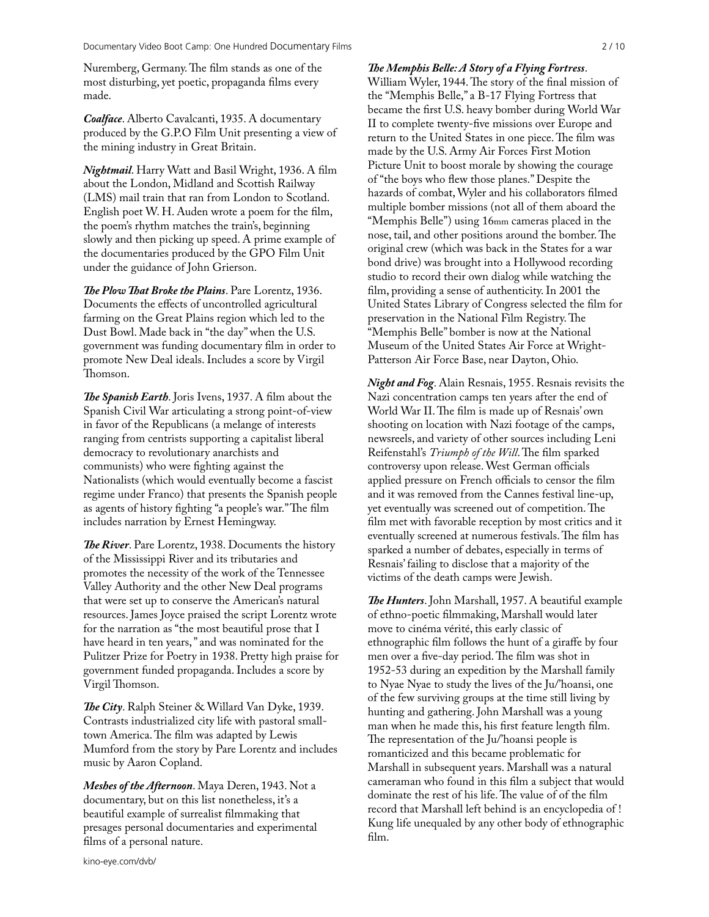Nuremberg, Germany. The film stands as one of the most disturbing, yet poetic, propaganda films every made.

*Coalface*. Alberto Cavalcanti, 1935. A documentary produced by the G.P.O Film Unit presenting a view of the mining industry in Great Britain.

*Nightmail*. Harry Watt and Basil Wright, 1936. A film about the London, Midland and Scottish Railway (LMS) mail train that ran from London to Scotland. English poet W. H. Auden wrote a poem for the film, the poem's rhythm matches the train's, beginning slowly and then picking up speed. A prime example of the documentaries produced by the GPO Film Unit under the guidance of John Grierson.

*The Plow That Broke the Plains. Pare Lorentz, 1936.* Documents the effects of uncontrolled agricultural farming on the Great Plains region which led to the Dust Bowl. Made back in "the day" when the U.S. government was funding documentary film in order to promote New Deal ideals. Includes a score by Virgil Thomson.

*The Spanish Earth.* Joris Ivens, 1937. A film about the Spanish Civil War articulating a strong point-of-view in favor of the Republicans (a melange of interests ranging from centrists supporting a capitalist liberal democracy to revolutionary anarchists and communists) who were fighting against the Nationalists (which would eventually become a fascist regime under Franco) that presents the Spanish people as agents of history fighting "a people's war." The film includes narration by Ernest Hemingway.

**The River.** Pare Lorentz, 1938. Documents the history of the Mississippi River and its tributaries and promotes the necessity of the work of the Tennessee Valley Authority and the other New Deal programs that were set up to conserve the American's natural resources. James Joyce praised the script Lorentz wrote for the narration as "the most beautiful prose that I have heard in ten years, " and was nominated for the Pulitzer Prize for Poetry in 1938. Pretty high praise for government funded propaganda. Includes a score by Virgil Thomson.

*e City*. Ralph Steiner & Willard Van Dyke, 1939. Contrasts industrialized city life with pastoral smalltown America. The film was adapted by Lewis Mumford from the story by Pare Lorentz and includes music by Aaron Copland.

*Meshes of the Afternoon*. Maya Deren, 1943. Not a documentary, but on this list nonetheless, it's a beautiful example of surrealist filmmaking that presages personal documentaries and experimental films of a personal nature.

#### *e Memphis Belle: A Story of a Flying Fortress*.

William Wyler, 1944. The story of the final mission of the "Memphis Belle," a B-17 Flying Fortress that became the first U.S. heavy bomber during World War II to complete twenty-five missions over Europe and return to the United States in one piece. The film was made by the U.S. Army Air Forces First Motion Picture Unit to boost morale by showing the courage of "the boys who flew those planes." Despite the hazards of combat, Wyler and his collaborators filmed multiple bomber missions (not all of them aboard the "Memphis Belle") using 16mm cameras placed in the nose, tail, and other positions around the bomber. The original crew (which was back in the States for a war bond drive) was brought into a Hollywood recording studio to record their own dialog while watching the film, providing a sense of authenticity. In 2001 the United States Library of Congress selected the film for preservation in the National Film Registry. The "Memphis Belle" bomber is now at the National Museum of the United States Air Force at Wright-Patterson Air Force Base, near Dayton, Ohio.

*Night and Fog*. Alain Resnais, 1955. Resnais revisits the Nazi concentration camps ten years after the end of World War II. The film is made up of Resnais' own shooting on location with Nazi footage of the camps, newsreels, and variety of other sources including Leni Reifenstahl's *Triumph of the Will*. The film sparked controversy upon release. West German officials applied pressure on French officials to censor the film and it was removed from the Cannes festival line-up, yet eventually was screened out of competition. The film met with favorable reception by most critics and it eventually screened at numerous festivals. The film has sparked a number of debates, especially in terms of Resnais' failing to disclose that a majority of the victims of the death camps were Jewish.

**The Hunters**. John Marshall, 1957. A beautiful example of ethno-poetic filmmaking, Marshall would later move to cinéma vérité, this early classic of ethnographic film follows the hunt of a giraffe by four men over a five-day period. The film was shot in 1952-53 during an expedition by the Marshall family to Nyae Nyae to study the lives of the Ju/'hoansi, one of the few surviving groups at the time still living by hunting and gathering. John Marshall was a young man when he made this, his first feature length film. The representation of the Ju/'hoansi people is romanticized and this became problematic for Marshall in subsequent years. Marshall was a natural cameraman who found in this film a subject that would dominate the rest of his life. The value of of the film record that Marshall left behind is an encyclopedia of ! Kung life unequaled by any other body of ethnographic film.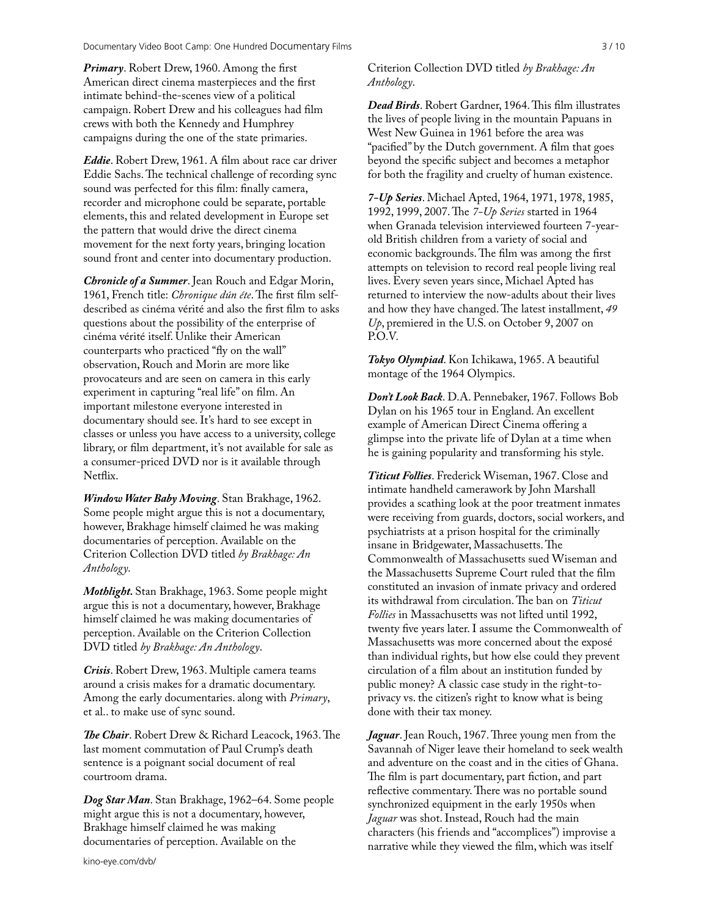*Primary*. Robert Drew, 1960. Among the first American direct cinema masterpieces and the first intimate behind-the-scenes view of a political campaign. Robert Drew and his colleagues had film crews with both the Kennedy and Humphrey campaigns during the one of the state primaries.

*Eddie*. Robert Drew, 1961. A film about race car driver Eddie Sachs. The technical challenge of recording sync sound was perfected for this film: finally camera, recorder and microphone could be separate, portable elements, this and related development in Europe set the pattern that would drive the direct cinema movement for the next forty years, bringing location sound front and center into documentary production.

*Chronicle of a Summer*. Jean Rouch and Edgar Morin, 1961, French title: *Chronique dún éte*. The first film selfdescribed as cinéma vérité and also the first film to asks questions about the possibility of the enterprise of cinéma vérité itself. Unlike their American counterparts who practiced "fly on the wall" observation, Rouch and Morin are more like provocateurs and are seen on camera in this early experiment in capturing "real life" on film. An important milestone everyone interested in documentary should see. It's hard to see except in classes or unless you have access to a university, college library, or film department, it's not available for sale as a consumer-priced DVD nor is it available through Netflix.

*Window Water Baby Moving*. Stan Brakhage, 1962. Some people might argue this is not a documentary, however, Brakhage himself claimed he was making documentaries of perception. Available on the Criterion Collection DVD titled *by Brakhage: An Anthology*.

*Mothlight.* Stan Brakhage, 1963. Some people might argue this is not a documentary, however, Brakhage himself claimed he was making documentaries of perception. Available on the Criterion Collection DVD titled *by Brakhage: An Anthology*.

*Crisis*. Robert Drew, 1963. Multiple camera teams around a crisis makes for a dramatic documentary. Among the early documentaries. along with *Primary*, et al.. to make use of sync sound.

**The Chair.** Robert Drew & Richard Leacock, 1963. The last moment commutation of Paul Crump's death sentence is a poignant social document of real courtroom drama.

*Dog Star Man*. Stan Brakhage, 1962–64. Some people might argue this is not a documentary, however, Brakhage himself claimed he was making documentaries of perception. Available on the

Criterion Collection DVD titled *by Brakhage: An Anthology*.

*Dead Birds.* Robert Gardner, 1964. This film illustrates the lives of people living in the mountain Papuans in West New Guinea in 1961 before the area was "pacified" by the Dutch government. A film that goes beyond the specific subject and becomes a metaphor for both the fragility and cruelty of human existence.

*7-Up Series*. Michael Apted, 1964, 1971, 1978, 1985, 1992, 1999, 2007. The 7-Up Series started in 1964 when Granada television interviewed fourteen 7-yearold British children from a variety of social and economic backgrounds. The film was among the first attempts on television to record real people living real lives. Every seven years since, Michael Apted has returned to interview the now-adults about their lives and how they have changed. The latest installment, 49 *Up*, premiered in the U.S. on October 9, 2007 on P.O.V.

*Tokyo Olympiad*. Kon Ichikawa, 1965. A beautiful montage of the 1964 Olympics.

*Don't Look Back*. D.A. Pennebaker, 1967. Follows Bob Dylan on his 1965 tour in England. An excellent example of American Direct Cinema offering a glimpse into the private life of Dylan at a time when he is gaining popularity and transforming his style.

*Titicut Follies*. Frederick Wiseman, 1967. Close and intimate handheld camerawork by John Marshall provides a scathing look at the poor treatment inmates were receiving from guards, doctors, social workers, and psychiatrists at a prison hospital for the criminally insane in Bridgewater, Massachusetts. The Commonwealth of Massachusetts sued Wiseman and the Massachusetts Supreme Court ruled that the film constituted an invasion of inmate privacy and ordered its withdrawal from circulation. The ban on *Titicut Follies* in Massachusetts was not lifted until 1992, twenty five years later. I assume the Commonwealth of Massachusetts was more concerned about the exposé than individual rights, but how else could they prevent circulation of a film about an institution funded by public money? A classic case study in the right-toprivacy vs. the citizen's right to know what is being done with their tax money.

*Jaguar*. Jean Rouch, 1967. Three young men from the Savannah of Niger leave their homeland to seek wealth and adventure on the coast and in the cities of Ghana. The film is part documentary, part fiction, and part reflective commentary. There was no portable sound synchronized equipment in the early 1950s when *Jaguar* was shot. Instead, Rouch had the main characters (his friends and "accomplices") improvise a narrative while they viewed the film, which was itself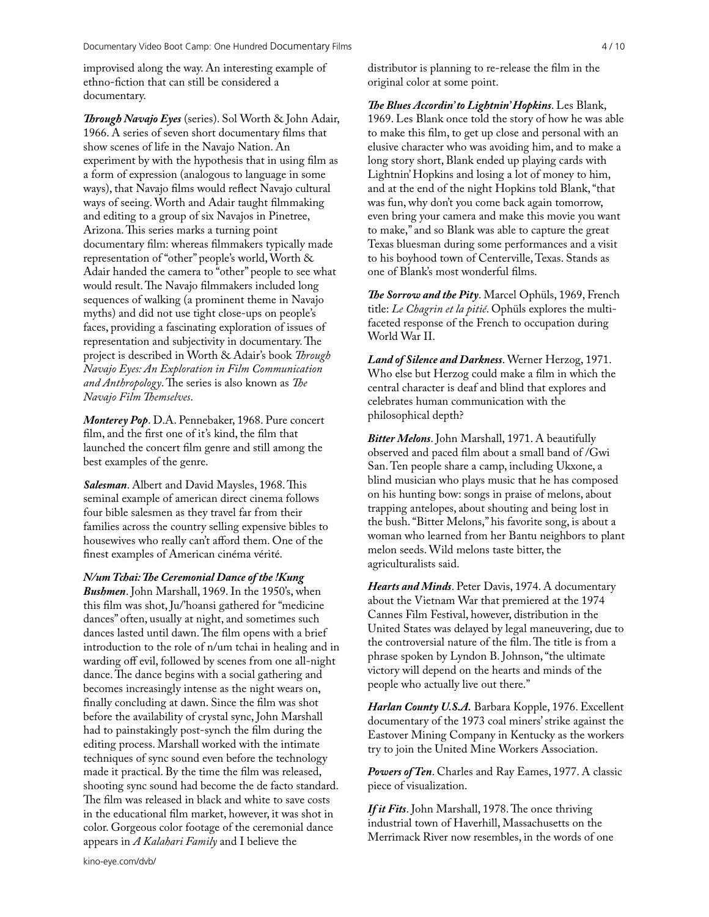improvised along the way. An interesting example of ethno-fiction that can still be considered a documentary.

*Through Navajo Eyes* (series). Sol Worth & John Adair, 1966. A series of seven short documentary films that show scenes of life in the Navajo Nation. An experiment by with the hypothesis that in using film as a form of expression (analogous to language in some ways), that Navajo films would reflect Navajo cultural ways of seeing. Worth and Adair taught filmmaking and editing to a group of six Navajos in Pinetree, Arizona. This series marks a turning point documentary film: whereas filmmakers typically made representation of "other" people's world, Worth & Adair handed the camera to "other" people to see what would result. The Navajo filmmakers included long sequences of walking (a prominent theme in Navajo myths) and did not use tight close-ups on people's faces, providing a fascinating exploration of issues of representation and subjectivity in documentary. The project is described in Worth & Adair's book *Through Navajo Eyes: An Exploration in Film Communication and Anthropology*. The series is also known as *The Navajo Film Themselves.* 

*Monterey Pop*. D.A. Pennebaker, 1968. Pure concert film, and the first one of it's kind, the film that launched the concert film genre and still among the best examples of the genre.

**Salesman.** Albert and David Maysles, 1968. This seminal example of american direct cinema follows four bible salesmen as they travel far from their families across the country selling expensive bibles to housewives who really can't afford them. One of the finest examples of American cinéma vérité.

*N/um Tchai: The Ceremonial Dance of the !Kung Bushmen*. John Marshall, 1969. In the 1950's, when this film was shot, Ju/'hoansi gathered for "medicine dances" often, usually at night, and sometimes such dances lasted until dawn. The film opens with a brief introduction to the role of n/um tchai in healing and in warding off evil, followed by scenes from one all-night dance. The dance begins with a social gathering and becomes increasingly intense as the night wears on, finally concluding at dawn. Since the film was shot before the availability of crystal sync, John Marshall had to painstakingly post-synch the film during the editing process. Marshall worked with the intimate techniques of sync sound even before the technology made it practical. By the time the film was released, shooting sync sound had become the de facto standard. The film was released in black and white to save costs in the educational film market, however, it was shot in color. Gorgeous color footage of the ceremonial dance appears in *A Kalahari Family* and I believe the

distributor is planning to re-release the film in the original color at some point.

*e Blues Accordin' to Lightnin' Hopkins*. Les Blank, 1969. Les Blank once told the story of how he was able to make this film, to get up close and personal with an elusive character who was avoiding him, and to make a long story short, Blank ended up playing cards with Lightnin' Hopkins and losing a lot of money to him, and at the end of the night Hopkins told Blank, "that was fun, why don't you come back again tomorrow, even bring your camera and make this movie you want to make," and so Blank was able to capture the great Texas bluesman during some performances and a visit to his boyhood town of Centerville, Texas. Stands as one of Blank's most wonderful films.

The Sorrow and the Pity. Marcel Ophüls, 1969, French title: *Le Chagrin et la pitié*. Ophüls explores the multifaceted response of the French to occupation during World War II.

*Land of Silence and Darkness*. Werner Herzog, 1971. Who else but Herzog could make a film in which the central character is deaf and blind that explores and celebrates human communication with the philosophical depth?

*Bitter Melons*. John Marshall, 1971. A beautifully observed and paced film about a small band of /Gwi San. Ten people share a camp, including Ukxone, a blind musician who plays music that he has composed on his hunting bow: songs in praise of melons, about trapping antelopes, about shouting and being lost in the bush. "Bitter Melons," his favorite song, is about a woman who learned from her Bantu neighbors to plant melon seeds. Wild melons taste bitter, the agriculturalists said.

*Hearts and Minds*. Peter Davis, 1974. A documentary about the Vietnam War that premiered at the 1974 Cannes Film Festival, however, distribution in the United States was delayed by legal maneuvering, due to the controversial nature of the film. The title is from a phrase spoken by Lyndon B. Johnson, "the ultimate victory will depend on the hearts and minds of the people who actually live out there."

*Harlan County U.S.A.* Barbara Kopple, 1976. Excellent documentary of the 1973 coal miners' strike against the Eastover Mining Company in Kentucky as the workers try to join the United Mine Workers Association.

*Powers of Ten*. Charles and Ray Eames, 1977. A classic piece of visualization.

*If it Fits*. John Marshall, 1978. The once thriving industrial town of Haverhill, Massachusetts on the Merrimack River now resembles, in the words of one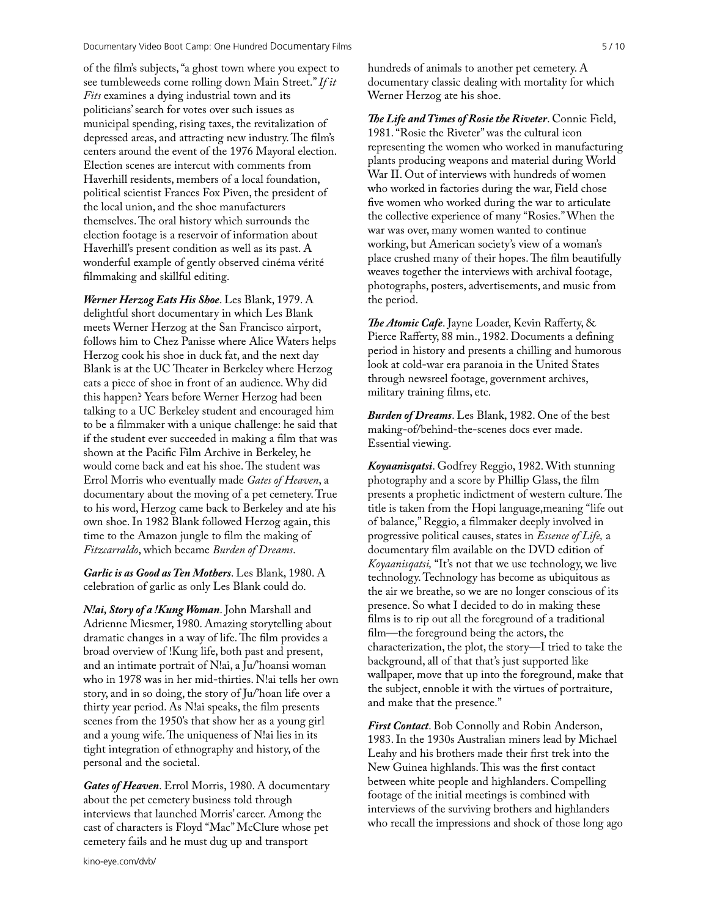of the film's subjects, "a ghost town where you expect to see tumbleweeds come rolling down Main Street." *If it Fits* examines a dying industrial town and its politicians' search for votes over such issues as municipal spending, rising taxes, the revitalization of depressed areas, and attracting new industry. The film's centers around the event of the 1976 Mayoral election. Election scenes are intercut with comments from Haverhill residents, members of a local foundation, political scientist Frances Fox Piven, the president of the local union, and the shoe manufacturers themselves. The oral history which surrounds the election footage is a reservoir of information about Haverhill's present condition as well as its past. A wonderful example of gently observed cinéma vérité filmmaking and skillful editing.

*Werner Herzog Eats His Shoe*. Les Blank, 1979. A delightful short documentary in which Les Blank meets Werner Herzog at the San Francisco airport, follows him to Chez Panisse where Alice Waters helps Herzog cook his shoe in duck fat, and the next day Blank is at the UC Theater in Berkeley where Herzog eats a piece of shoe in front of an audience. Why did this happen? Years before Werner Herzog had been talking to a UC Berkeley student and encouraged him to be a filmmaker with a unique challenge: he said that if the student ever succeeded in making a film that was shown at the Pacific Film Archive in Berkeley, he would come back and eat his shoe. The student was Errol Morris who eventually made *Gates of Heaven*, a documentary about the moving of a pet cemetery. True to his word, Herzog came back to Berkeley and ate his own shoe. In 1982 Blank followed Herzog again, this time to the Amazon jungle to film the making of *Fitzcarraldo*, which became *Burden of Dreams*.

*Garlic is as Good as Ten Mothers*. Les Blank, 1980. A celebration of garlic as only Les Blank could do.

*N!ai, Story of a !Kung Woman*. John Marshall and Adrienne Miesmer, 1980. Amazing storytelling about dramatic changes in a way of life. The film provides a broad overview of !Kung life, both past and present, and an intimate portrait of N!ai, a Ju/'hoansi woman who in 1978 was in her mid-thirties. N!ai tells her own story, and in so doing, the story of Ju/'hoan life over a thirty year period. As N!ai speaks, the film presents scenes from the 1950's that show her as a young girl and a young wife. The uniqueness of  $N!$ ai lies in its tight integration of ethnography and history, of the personal and the societal.

*Gates of Heaven*. Errol Morris, 1980. A documentary about the pet cemetery business told through interviews that launched Morris' career. Among the cast of characters is Floyd "Mac" McClure whose pet cemetery fails and he must dug up and transport

hundreds of animals to another pet cemetery. A documentary classic dealing with mortality for which Werner Herzog ate his shoe.

*e Life and Times of Rosie the Riveter*. Connie Field, 1981. "Rosie the Riveter" was the cultural icon representing the women who worked in manufacturing plants producing weapons and material during World War II. Out of interviews with hundreds of women who worked in factories during the war, Field chose five women who worked during the war to articulate the collective experience of many "Rosies." When the war was over, many women wanted to continue working, but American society's view of a woman's place crushed many of their hopes. The film beautifully weaves together the interviews with archival footage, photographs, posters, advertisements, and music from the period.

The Atomic Cafe. Jayne Loader, Kevin Rafferty, & Pierce Rafferty, 88 min., 1982. Documents a defining period in history and presents a chilling and humorous look at cold-war era paranoia in the United States through newsreel footage, government archives, military training films, etc.

*Burden of Dreams*. Les Blank, 1982. One of the best making-of/behind-the-scenes docs ever made. Essential viewing.

*Koyaanisqatsi*. Godfrey Reggio, 1982. With stunning photography and a score by Phillip Glass, the film presents a prophetic indictment of western culture. The title is taken from the Hopi language,meaning "life out of balance," Reggio, a filmmaker deeply involved in progressive political causes, states in *Essence of Life,* a documentary film available on the DVD edition of *Koyaanisqatsi,* "It's not that we use technology, we live technology. Technology has become as ubiquitous as the air we breathe, so we are no longer conscious of its presence. So what I decided to do in making these films is to rip out all the foreground of a traditional film—the foreground being the actors, the characterization, the plot, the story—I tried to take the background, all of that that's just supported like wallpaper, move that up into the foreground, make that the subject, ennoble it with the virtues of portraiture, and make that the presence."

*First Contact*. Bob Connolly and Robin Anderson, 1983. In the 1930s Australian miners lead by Michael Leahy and his brothers made their first trek into the New Guinea highlands. This was the first contact between white people and highlanders. Compelling footage of the initial meetings is combined with interviews of the surviving brothers and highlanders who recall the impressions and shock of those long ago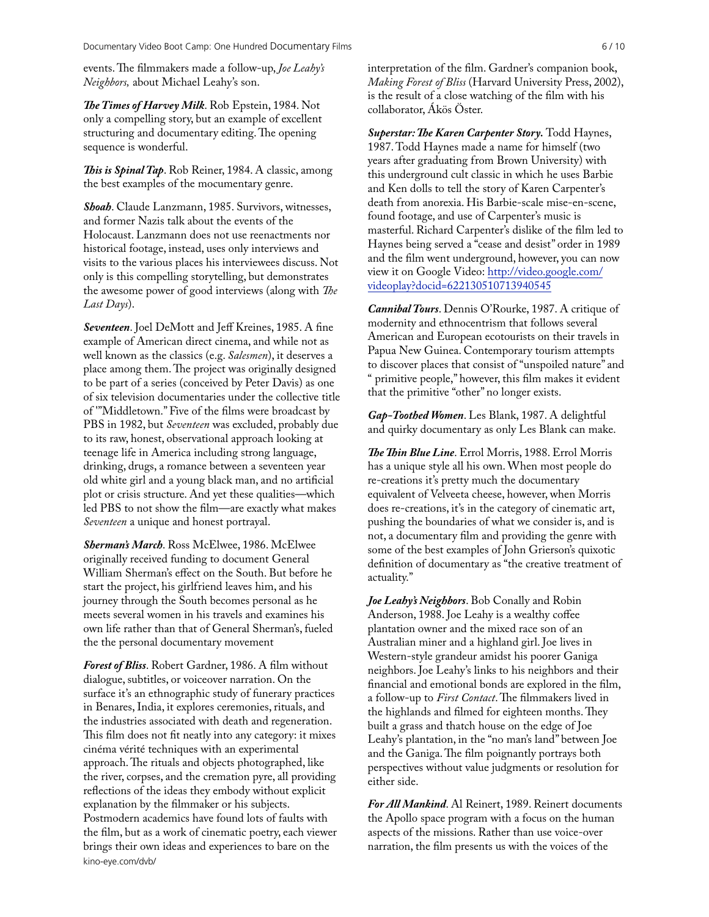events. The filmmakers made a follow-up, *Joe Leahy's Neighbors,* about Michael Leahy's son.

*e Times of Harvey Milk*. Rob Epstein, 1984. Not only a compelling story, but an example of excellent structuring and documentary editing. The opening sequence is wonderful.

This is Spinal Tap. Rob Reiner, 1984. A classic, among the best examples of the mocumentary genre.

*Shoah*. Claude Lanzmann, 1985. Survivors, witnesses, and former Nazis talk about the events of the Holocaust. Lanzmann does not use reenactments nor historical footage, instead, uses only interviews and visits to the various places his interviewees discuss. Not only is this compelling storytelling, but demonstrates the awesome power of good interviews (along with *The Last Days*).

*Seventeen*. Joel DeMott and Jeff Kreines, 1985. A fine example of American direct cinema, and while not as well known as the classics (e.g. *Salesmen*), it deserves a place among them. The project was originally designed to be part of a series (conceived by Peter Davis) as one of six television documentaries under the collective title of '"Middletown." Five of the films were broadcast by PBS in 1982, but *Seventeen* was excluded, probably due to its raw, honest, observational approach looking at teenage life in America including strong language, drinking, drugs, a romance between a seventeen year old white girl and a young black man, and no artificial plot or crisis structure. And yet these qualities—which led PBS to not show the film—are exactly what makes *Seventeen* a unique and honest portrayal.

*Sherman's March*. Ross McElwee, 1986. McElwee originally received funding to document General William Sherman's effect on the South. But before he start the project, his girlfriend leaves him, and his journey through the South becomes personal as he meets several women in his travels and examines his own life rather than that of General Sherman's, fueled the the personal documentary movement

*Forest of Bliss*. Robert Gardner, 1986. A film without dialogue, subtitles, or voiceover narration. On the surface it's an ethnographic study of funerary practices in Benares, India, it explores ceremonies, rituals, and the industries associated with death and regeneration. This film does not fit neatly into any category: it mixes cinéma vérité techniques with an experimental approach. The rituals and objects photographed, like the river, corpses, and the cremation pyre, all providing reflections of the ideas they embody without explicit explanation by the filmmaker or his subjects. Postmodern academics have found lots of faults with the film, but as a work of cinematic poetry, each viewer brings their own ideas and experiences to bare on the [kino-eye.com/dvb/](http://kino-eye.com/dvb/)

interpretation of the film. Gardner's companion book, *Making Forest of Bliss* (Harvard University Press, 2002), is the result of a close watching of the film with his collaborator, Ákös Öster.

Superstar: The Karen Carpenter Story. Todd Haynes, 1987. Todd Haynes made a name for himself (two years after graduating from Brown University) with this underground cult classic in which he uses Barbie and Ken dolls to tell the story of Karen Carpenter's death from anorexia. His Barbie-scale mise-en-scene, found footage, and use of Carpenter's music is masterful. Richard Carpenter's dislike of the film led to Haynes being served a "cease and desist" order in 1989 and the film went underground, however, you can now view it on Google Video: [http://video.google.com/](http://video.google.com/videoplay?docid=622130510713940545) [videoplay?docid=622130510713940545](http://video.google.com/videoplay?docid=622130510713940545)

*Cannibal Tours*. Dennis O'Rourke, 1987. A critique of modernity and ethnocentrism that follows several American and European ecotourists on their travels in Papua New Guinea. Contemporary tourism attempts to discover places that consist of "unspoiled nature" and " primitive people," however, this film makes it evident that the primitive "other" no longer exists.

*Gap-Toothed Women*. Les Blank, 1987. A delightful and quirky documentary as only Les Blank can make.

The Thin Blue Line. Errol Morris, 1988. Errol Morris has a unique style all his own. When most people do re-creations it's pretty much the documentary equivalent of Velveeta cheese, however, when Morris does re-creations, it's in the category of cinematic art, pushing the boundaries of what we consider is, and is not, a documentary film and providing the genre with some of the best examples of John Grierson's quixotic definition of documentary as "the creative treatment of actuality."

*Joe Leahy's Neighbors*. Bob Conally and Robin Anderson, 1988. Joe Leahy is a wealthy coffee plantation owner and the mixed race son of an Australian miner and a highland girl. Joe lives in Western-style grandeur amidst his poorer Ganiga neighbors. Joe Leahy's links to his neighbors and their financial and emotional bonds are explored in the film, a follow-up to *First Contact*. The filmmakers lived in the highlands and filmed for eighteen months. They built a grass and thatch house on the edge of Joe Leahy's plantation, in the "no man's land" between Joe and the Ganiga. The film poignantly portrays both perspectives without value judgments or resolution for either side.

*For All Mankind*. Al Reinert, 1989. Reinert documents the Apollo space program with a focus on the human aspects of the missions. Rather than use voice-over narration, the film presents us with the voices of the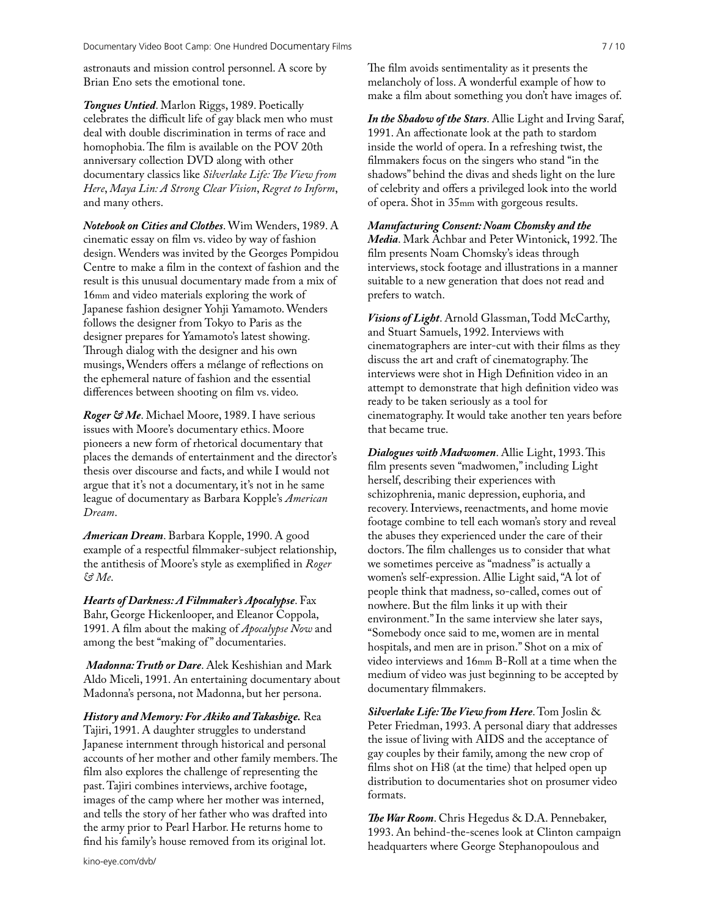astronauts and mission control personnel. A score by Brian Eno sets the emotional tone.

*Tongues Untied*. Marlon Riggs, 1989. Poetically celebrates the difficult life of gay black men who must deal with double discrimination in terms of race and homophobia. The film is available on the POV 20th anniversary collection DVD along with other documentary classics like *Silverlake Life: The View from Here*, *Maya Lin: A Strong Clear Vision*, *Regret to Inform*, and many others.

*Notebook on Cities and Clothes*. Wim Wenders, 1989. A cinematic essay on film vs. video by way of fashion design. Wenders was invited by the Georges Pompidou Centre to make a film in the context of fashion and the result is this unusual documentary made from a mix of 16mm and video materials exploring the work of Japanese fashion designer Yohji Yamamoto. Wenders follows the designer from Tokyo to Paris as the designer prepares for Yamamoto's latest showing. Through dialog with the designer and his own musings, Wenders offers a mélange of reflections on the ephemeral nature of fashion and the essential differences between shooting on film vs. video.

*Roger & Me*. Michael Moore, 1989. I have serious issues with Moore's documentary ethics. Moore pioneers a new form of rhetorical documentary that places the demands of entertainment and the director's thesis over discourse and facts, and while I would not argue that it's not a documentary, it's not in he same league of documentary as Barbara Kopple's *American Dream*.

*American Dream*. Barbara Kopple, 1990. A good example of a respectful filmmaker-subject relationship, the antithesis of Moore's style as exemplified in *Roger & Me*.

*Hearts of Darkness: A Filmmaker's Apocalypse*. Fax Bahr, George Hickenlooper, and Eleanor Coppola, 1991. A film about the making of *Apocalypse Now* and among the best "making of" documentaries.

*Madonna: Truth or Dare*. Alek Keshishian and Mark Aldo Miceli, 1991. An entertaining documentary about Madonna's persona, not Madonna, but her persona.

*History and Memory: For Akiko and Takashige.* Rea Tajiri, 1991. A daughter struggles to understand Japanese internment through historical and personal accounts of her mother and other family members. The film also explores the challenge of representing the past. Tajiri combines interviews, archive footage, images of the camp where her mother was interned, and tells the story of her father who was drafted into the army prior to Pearl Harbor. He returns home to find his family's house removed from its original lot.

The film avoids sentimentality as it presents the melancholy of loss. A wonderful example of how to make a film about something you don't have images of.

*In the Shadow of the Stars*. Allie Light and Irving Saraf, 1991. An affectionate look at the path to stardom inside the world of opera. In a refreshing twist, the filmmakers focus on the singers who stand "in the shadows" behind the divas and sheds light on the lure of celebrity and offers a privileged look into the world of opera. Shot in 35mm with gorgeous results.

*Manufacturing Consent: Noam Chomsky and the Media*. Mark Achbar and Peter Wintonick, 1992. The film presents Noam Chomsky's ideas through interviews, stock footage and illustrations in a manner

suitable to a new generation that does not read and

prefers to watch.

*Visions of Light*. Arnold Glassman, Todd McCarthy, and Stuart Samuels, 1992. Interviews with cinematographers are inter-cut with their films as they discuss the art and craft of cinematography. The interviews were shot in High Definition video in an attempt to demonstrate that high definition video was ready to be taken seriously as a tool for cinematography. It would take another ten years before that became true.

**Dialogues with Madwomen. Allie Light, 1993. This** film presents seven "madwomen," including Light herself, describing their experiences with schizophrenia, manic depression, euphoria, and recovery. Interviews, reenactments, and home movie footage combine to tell each woman's story and reveal the abuses they experienced under the care of their doctors. The film challenges us to consider that what we sometimes perceive as "madness" is actually a women's self-expression. Allie Light said, "A lot of people think that madness, so-called, comes out of nowhere. But the film links it up with their environment." In the same interview she later says, "Somebody once said to me, women are in mental hospitals, and men are in prison." Shot on a mix of video interviews and 16mm B-Roll at a time when the medium of video was just beginning to be accepted by documentary filmmakers.

Silverlake Life: The View from Here. Tom Joslin & Peter Friedman, 1993. A personal diary that addresses the issue of living with AIDS and the acceptance of gay couples by their family, among the new crop of films shot on Hi8 (at the time) that helped open up distribution to documentaries shot on prosumer video formats.

*e War Room*. Chris Hegedus & D.A. Pennebaker, 1993. An behind-the-scenes look at Clinton campaign headquarters where George Stephanopoulous and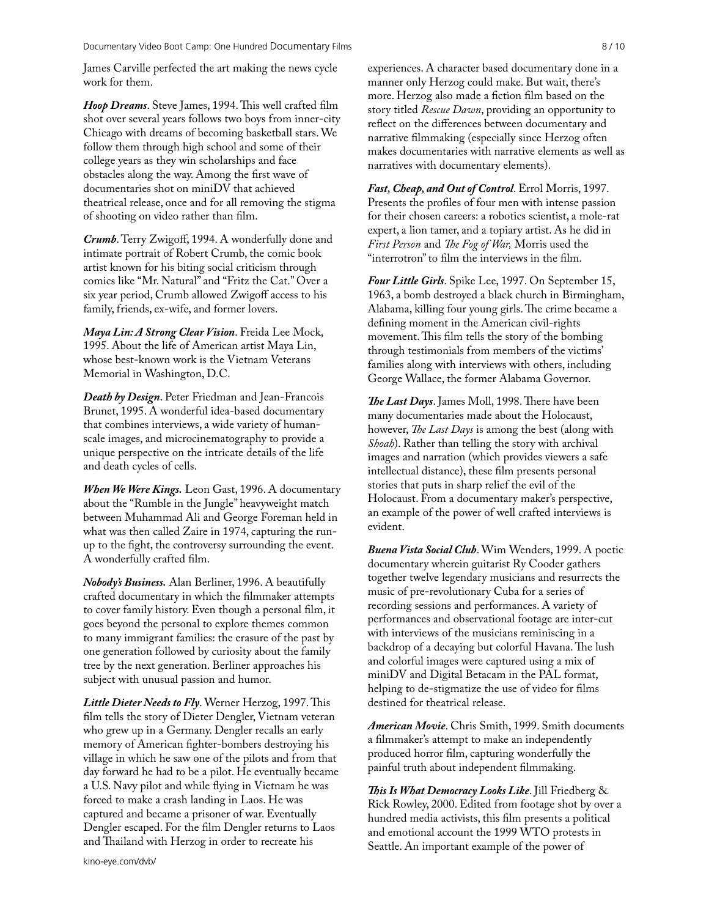James Carville perfected the art making the news cycle work for them.

Hoop Dreams. Steve James, 1994. This well crafted film shot over several years follows two boys from inner-city Chicago with dreams of becoming basketball stars. We follow them through high school and some of their college years as they win scholarships and face obstacles along the way. Among the first wave of documentaries shot on miniDV that achieved theatrical release, once and for all removing the stigma of shooting on video rather than film.

*Crumb*. Terry Zwigoff, 1994. A wonderfully done and intimate portrait of Robert Crumb, the comic book artist known for his biting social criticism through comics like "Mr. Natural" and "Fritz the Cat." Over a six year period, Crumb allowed Zwigoff access to his family, friends, ex-wife, and former lovers.

*Maya Lin: A Strong Clear Vision*. Freida Lee Mock, 1995. About the life of American artist Maya Lin, whose best-known work is the Vietnam Veterans Memorial in Washington, D.C.

*Death by Design*. Peter Friedman and Jean-Francois Brunet, 1995. A wonderful idea-based documentary that combines interviews, a wide variety of humanscale images, and microcinematography to provide a unique perspective on the intricate details of the life and death cycles of cells.

*When We Were Kings.* Leon Gast, 1996. A documentary about the "Rumble in the Jungle" heavyweight match between Muhammad Ali and George Foreman held in what was then called Zaire in 1974, capturing the runup to the fight, the controversy surrounding the event. A wonderfully crafted film.

*Nobody's Business.* Alan Berliner, 1996. A beautifully crafted documentary in which the filmmaker attempts to cover family history. Even though a personal film, it goes beyond the personal to explore themes common to many immigrant families: the erasure of the past by one generation followed by curiosity about the family tree by the next generation. Berliner approaches his subject with unusual passion and humor.

*Little Dieter Needs to Fly.* Werner Herzog, 1997. This film tells the story of Dieter Dengler, Vietnam veteran who grew up in a Germany. Dengler recalls an early memory of American fighter-bombers destroying his village in which he saw one of the pilots and from that day forward he had to be a pilot. He eventually became a U.S. Navy pilot and while flying in Vietnam he was forced to make a crash landing in Laos. He was captured and became a prisoner of war. Eventually Dengler escaped. For the film Dengler returns to Laos and Thailand with Herzog in order to recreate his

experiences. A character based documentary done in a manner only Herzog could make. But wait, there's more. Herzog also made a fiction film based on the story titled *Rescue Dawn*, providing an opportunity to reflect on the differences between documentary and narrative filmmaking (especially since Herzog often makes documentaries with narrative elements as well as narratives with documentary elements).

*Fast, Cheap, and Out of Control*. Errol Morris, 1997. Presents the profiles of four men with intense passion for their chosen careers: a robotics scientist, a mole-rat expert, a lion tamer, and a topiary artist. As he did in *First Person* and *The Fog of War*, Morris used the "interrotron" to film the interviews in the film.

*Four Little Girls*. Spike Lee, 1997. On September 15, 1963, a bomb destroyed a black church in Birmingham, Alabama, killing four young girls. The crime became a defining moment in the American civil-rights movement. This film tells the story of the bombing through testimonials from members of the victims' families along with interviews with others, including George Wallace, the former Alabama Governor.

**The Last Days**. James Moll, 1998. There have been many documentaries made about the Holocaust, however, *The Last Days* is among the best (along with *Shoah*). Rather than telling the story with archival images and narration (which provides viewers a safe intellectual distance), these film presents personal stories that puts in sharp relief the evil of the Holocaust. From a documentary maker's perspective, an example of the power of well crafted interviews is evident.

*Buena Vista Social Club*. Wim Wenders, 1999. A poetic documentary wherein guitarist Ry Cooder gathers together twelve legendary musicians and resurrects the music of pre-revolutionary Cuba for a series of recording sessions and performances. A variety of performances and observational footage are inter-cut with interviews of the musicians reminiscing in a backdrop of a decaying but colorful Havana. The lush and colorful images were captured using a mix of miniDV and Digital Betacam in the PAL format, helping to de-stigmatize the use of video for films destined for theatrical release.

*American Movie*. Chris Smith, 1999. Smith documents a filmmaker's attempt to make an independently produced horror film, capturing wonderfully the painful truth about independent filmmaking.

*This Is What Democracy Looks Like.* Jill Friedberg & Rick Rowley, 2000. Edited from footage shot by over a hundred media activists, this film presents a political and emotional account the 1999 WTO protests in Seattle. An important example of the power of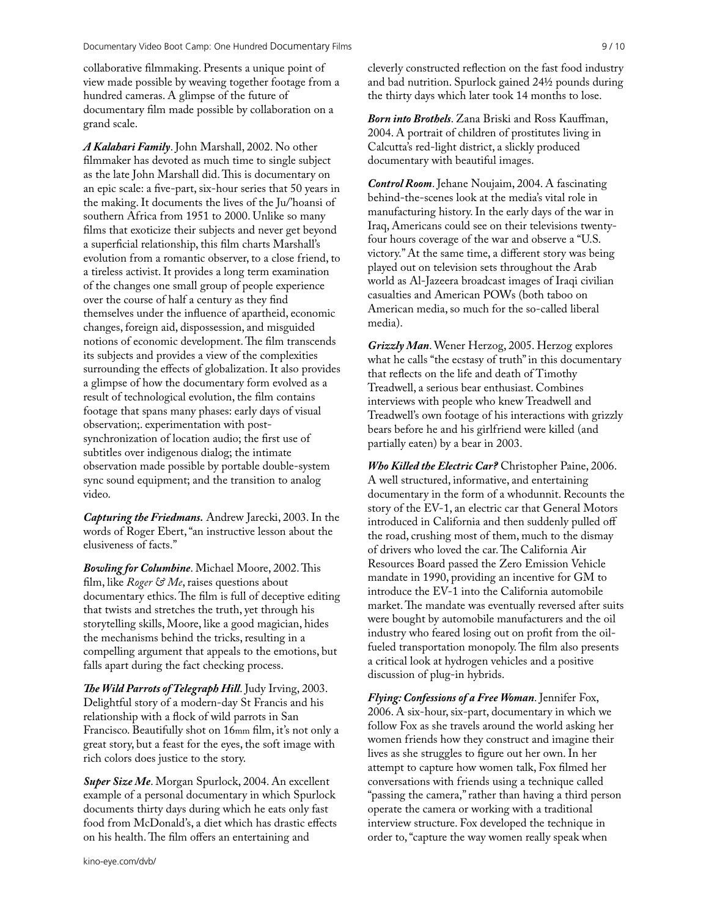collaborative filmmaking. Presents a unique point of view made possible by weaving together footage from a hundred cameras. A glimpse of the future of documentary film made possible by collaboration on a grand scale.

*A Kalahari Family*. John Marshall, 2002. No other filmmaker has devoted as much time to single subject as the late John Marshall did. This is documentary on an epic scale: a five-part, six-hour series that 50 years in the making. It documents the lives of the Ju/'hoansi of southern Africa from 1951 to 2000. Unlike so many films that exoticize their subjects and never get beyond a superficial relationship, this film charts Marshall's evolution from a romantic observer, to a close friend, to a tireless activist. It provides a long term examination of the changes one small group of people experience over the course of half a century as they find themselves under the influence of apartheid, economic changes, foreign aid, dispossession, and misguided notions of economic development. The film transcends its subjects and provides a view of the complexities surrounding the effects of globalization. It also provides a glimpse of how the documentary form evolved as a result of technological evolution, the film contains footage that spans many phases: early days of visual observation;. experimentation with postsynchronization of location audio; the first use of subtitles over indigenous dialog; the intimate observation made possible by portable double-system sync sound equipment; and the transition to analog video.

*Capturing the Friedmans.* Andrew Jarecki, 2003. In the words of Roger Ebert, "an instructive lesson about the elusiveness of facts."

**Bowling for Columbine.** Michael Moore, 2002. This film, like *Roger & Me*, raises questions about documentary ethics. The film is full of deceptive editing that twists and stretches the truth, yet through his storytelling skills, Moore, like a good magician, hides the mechanisms behind the tricks, resulting in a compelling argument that appeals to the emotions, but falls apart during the fact checking process.

**The Wild Parrots of Telegraph Hill.** Judy Irving, 2003. Delightful story of a modern-day St Francis and his relationship with a flock of wild parrots in San Francisco. Beautifully shot on 16mm film, it's not only a great story, but a feast for the eyes, the soft image with rich colors does justice to the story.

*Super Size Me*. Morgan Spurlock, 2004. An excellent example of a personal documentary in which Spurlock documents thirty days during which he eats only fast food from McDonald's, a diet which has drastic effects on his health. The film offers an entertaining and

[kino-eye.com/dvb/](http://kino-eye.com/dvb/)

cleverly constructed reflection on the fast food industry and bad nutrition. Spurlock gained 24½ pounds during the thirty days which later took 14 months to lose.

*Born into Brothels*. Zana Briski and Ross Kauffman, 2004. A portrait of children of prostitutes living in Calcutta's red-light district, a slickly produced documentary with beautiful images.

*Control Room*. Jehane Noujaim, 2004. A fascinating behind-the-scenes look at the media's vital role in manufacturing history. In the early days of the war in Iraq, Americans could see on their televisions twentyfour hours coverage of the war and observe a "U.S. victory." At the same time, a different story was being played out on television sets throughout the Arab world as Al-Jazeera broadcast images of Iraqi civilian casualties and American POWs (both taboo on American media, so much for the so-called liberal media).

*Grizzly Man*. Wener Herzog, 2005. Herzog explores what he calls "the ecstasy of truth" in this documentary that reflects on the life and death of Timothy Treadwell, a serious bear enthusiast. Combines interviews with people who knew Treadwell and Treadwell's own footage of his interactions with grizzly bears before he and his girlfriend were killed (and partially eaten) by a bear in 2003.

*Who Killed the Electric Car?* Christopher Paine, 2006. A well structured, informative, and entertaining documentary in the form of a whodunnit. Recounts the story of the EV-1, an electric car that General Motors introduced in California and then suddenly pulled off the road, crushing most of them, much to the dismay of drivers who loved the car. The California Air Resources Board passed the Zero Emission Vehicle mandate in 1990, providing an incentive for GM to introduce the EV-1 into the California automobile market. The mandate was eventually reversed after suits were bought by automobile manufacturers and the oil industry who feared losing out on profit from the oilfueled transportation monopoly. The film also presents a critical look at hydrogen vehicles and a positive discussion of plug-in hybrids.

*Flying: Confessions of a Free Woman*. Jennifer Fox, 2006. A six-hour, six-part, documentary in which we follow Fox as she travels around the world asking her women friends how they construct and imagine their lives as she struggles to figure out her own. In her attempt to capture how women talk, Fox filmed her conversations with friends using a technique called "passing the camera," rather than having a third person operate the camera or working with a traditional interview structure. Fox developed the technique in order to, "capture the way women really speak when